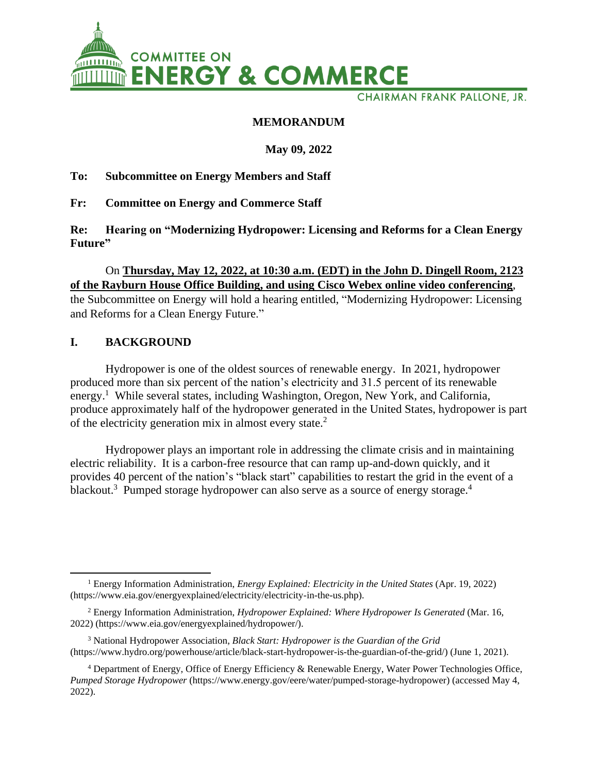

**CHAIRMAN FRANK PALLONE, JR.** 

## **MEMORANDUM**

## **May 09, 2022**

## **To: Subcommittee on Energy Members and Staff**

**Fr: Committee on Energy and Commerce Staff**

**Re: Hearing on "Modernizing Hydropower: Licensing and Reforms for a Clean Energy Future"**

# On **Thursday, May 12, 2022, at 10:30 a.m. (EDT) in the John D. Dingell Room, 2123 of the Rayburn House Office Building, and using Cisco Webex online video conferencing**, the Subcommittee on Energy will hold a hearing entitled, "Modernizing Hydropower: Licensing and Reforms for a Clean Energy Future."

## **I. BACKGROUND**

Hydropower is one of the oldest sources of renewable energy. In 2021, hydropower produced more than six percent of the nation's electricity and 31.5 percent of its renewable energy.<sup>1</sup> While several states, including Washington, Oregon, New York, and California, produce approximately half of the hydropower generated in the United States, hydropower is part of the electricity generation mix in almost every state. $2$ 

Hydropower plays an important role in addressing the climate crisis and in maintaining electric reliability. It is a carbon-free resource that can ramp up-and-down quickly, and it provides 40 percent of the nation's "black start" capabilities to restart the grid in the event of a blackout.<sup>3</sup> Pumped storage hydropower can also serve as a source of energy storage.<sup>4</sup>

<sup>1</sup> Energy Information Administration, *Energy Explained: Electricity in the United States* (Apr. 19, 2022) (https://www.eia.gov/energyexplained/electricity/electricity-in-the-us.php).

<sup>2</sup> Energy Information Administration, *Hydropower Explained: Where Hydropower Is Generated* (Mar. 16, 2022) (https://www.eia.gov/energyexplained/hydropower/).

<sup>3</sup> National Hydropower Association, *Black Start: Hydropower is the Guardian of the Grid*  (https://www.hydro.org/powerhouse/article/black-start-hydropower-is-the-guardian-of-the-grid/) (June 1, 2021).

<sup>4</sup> Department of Energy, Office of Energy Efficiency & Renewable Energy, Water Power Technologies Office, *Pumped Storage Hydropower* (https://www.energy.gov/eere/water/pumped-storage-hydropower) (accessed May 4, 2022).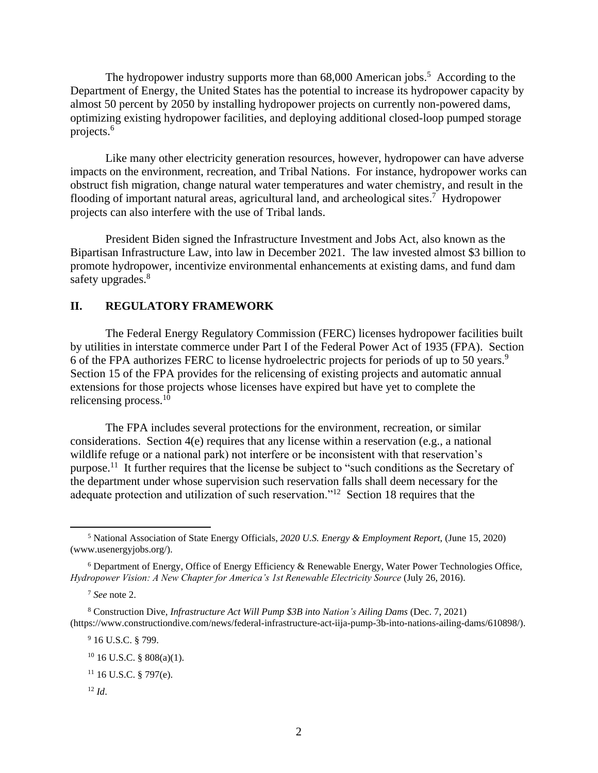The hydropower industry supports more than  $68,000$  American jobs.<sup>5</sup> According to the Department of Energy, the United States has the potential to increase its hydropower capacity by almost 50 percent by 2050 by installing hydropower projects on currently non-powered dams, optimizing existing hydropower facilities, and deploying additional closed-loop pumped storage projects.<sup>6</sup>

Like many other electricity generation resources, however, hydropower can have adverse impacts on the environment, recreation, and Tribal Nations. For instance, hydropower works can obstruct fish migration, change natural water temperatures and water chemistry, and result in the flooding of important natural areas, agricultural land, and archeological sites.<sup>7</sup> Hydropower projects can also interfere with the use of Tribal lands.

President Biden signed the Infrastructure Investment and Jobs Act, also known as the Bipartisan Infrastructure Law, into law in December 2021. The law invested almost \$3 billion to promote hydropower, incentivize environmental enhancements at existing dams, and fund dam safety upgrades.<sup>8</sup>

## **II. REGULATORY FRAMEWORK**

The Federal Energy Regulatory Commission (FERC) licenses hydropower facilities built by utilities in interstate commerce under Part I of the Federal Power Act of 1935 (FPA). Section 6 of the FPA authorizes FERC to license hydroelectric projects for periods of up to 50 years.<sup>9</sup> Section 15 of the FPA provides for the relicensing of existing projects and automatic annual extensions for those projects whose licenses have expired but have yet to complete the relicensing process.<sup>10</sup>

The FPA includes several protections for the environment, recreation, or similar considerations. Section 4(e) requires that any license within a reservation (e.g., a national wildlife refuge or a national park) not interfere or be inconsistent with that reservation's purpose.<sup>11</sup> It further requires that the license be subject to "such conditions as the Secretary of the department under whose supervision such reservation falls shall deem necessary for the adequate protection and utilization of such reservation."<sup>12</sup> Section 18 requires that the

 $12 \, Id.$ 

<sup>5</sup> National Association of State Energy Officials, *2020 U.S. Energy & Employment Report*, (June 15, 2020) (www.usenergyjobs.org/).

 $6$  Department of Energy, Office of Energy Efficiency & Renewable Energy, Water Power Technologies Office, *Hydropower Vision: A New Chapter for America's 1st Renewable Electricity Source* (July 26, 2016).

<sup>7</sup> *See* note 2.

<sup>8</sup> Construction Dive, *Infrastructure Act Will Pump \$3B into Nation's Ailing Dams* (Dec. 7, 2021) (https://www.constructiondive.com/news/federal-infrastructure-act-iija-pump-3b-into-nations-ailing-dams/610898/).

<sup>9</sup> 16 U.S.C. § 799.

 $10$  16 U.S.C. § 808(a)(1).

 $11$  16 U.S.C. § 797(e).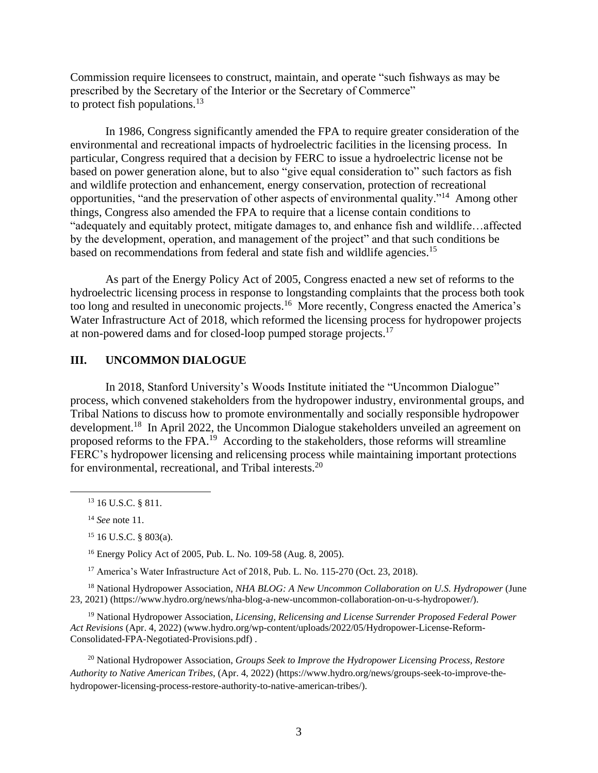Commission require licensees to construct, maintain, and operate "such fishways as may be prescribed by the Secretary of the Interior or the Secretary of Commerce" to protect fish populations. $^{13}$ 

In 1986, Congress significantly amended the FPA to require greater consideration of the environmental and recreational impacts of hydroelectric facilities in the licensing process. In particular, Congress required that a decision by FERC to issue a hydroelectric license not be based on power generation alone, but to also "give equal consideration to" such factors as fish and wildlife protection and enhancement, energy conservation, protection of recreational opportunities, "and the preservation of other aspects of environmental quality."<sup>14</sup> Among other things, Congress also amended the FPA to require that a license contain conditions to "adequately and equitably protect, mitigate damages to, and enhance fish and wildlife…affected by the development, operation, and management of the project" and that such conditions be based on recommendations from federal and state fish and wildlife agencies.<sup>15</sup>

As part of the Energy Policy Act of 2005, Congress enacted a new set of reforms to the hydroelectric licensing process in response to longstanding complaints that the process both took too long and resulted in uneconomic projects.<sup>16</sup> More recently, Congress enacted the America's Water Infrastructure Act of 2018, which reformed the licensing process for hydropower projects at non-powered dams and for closed-loop pumped storage projects.<sup>17</sup>

## **III. UNCOMMON DIALOGUE**

In 2018, Stanford University's Woods Institute initiated the "Uncommon Dialogue" process, which convened stakeholders from the hydropower industry, environmental groups, and Tribal Nations to discuss how to promote environmentally and socially responsible hydropower development.<sup>18</sup> In April 2022, the Uncommon Dialogue stakeholders unveiled an agreement on proposed reforms to the FPA.<sup>19</sup> According to the stakeholders, those reforms will streamline FERC's hydropower licensing and relicensing process while maintaining important protections for environmental, recreational, and Tribal interests.<sup>20</sup>

<sup>16</sup> Energy Policy Act of 2005, Pub. L. No. 109-58 (Aug. 8, 2005).

<sup>17</sup> America's Water Infrastructure Act of 2018, Pub. L. No. 115-270 (Oct. 23, 2018).

<sup>18</sup> National Hydropower Association, *NHA BLOG: A New Uncommon Collaboration on U.S. Hydropower* (June 23, 2021) (https://www.hydro.org/news/nha-blog-a-new-uncommon-collaboration-on-u-s-hydropower/).

<sup>19</sup> National Hydropower Association, *Licensing, Relicensing and License Surrender Proposed Federal Power Act Revisions* (Apr. 4, 2022) (www.hydro.org/wp-content/uploads/2022/05/Hydropower-License-Reform-Consolidated-FPA-Negotiated-Provisions.pdf) .

<sup>20</sup> National Hydropower Association, *Groups Seek to Improve the Hydropower Licensing Process, Restore Authority to Native American Tribes*, (Apr. 4, 2022) (https://www.hydro.org/news/groups-seek-to-improve-thehydropower-licensing-process-restore-authority-to-native-american-tribes/).

<sup>&</sup>lt;sup>13</sup> 16 U.S.C. § 811.

<sup>14</sup> *See* note 11.

 $15$  16 U.S.C. § 803(a).